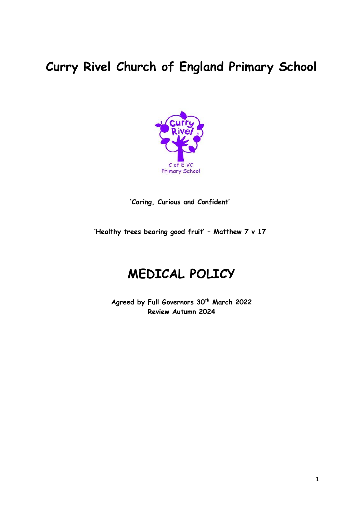# **Curry Rivel Church of England Primary School**



**'Caring, Curious and Confident'**

**'Healthy trees bearing good fruit' – Matthew 7 v 17**

# **MEDICAL POLICY**

**Agreed by Full Governors 30th March 2022 Review Autumn 2024**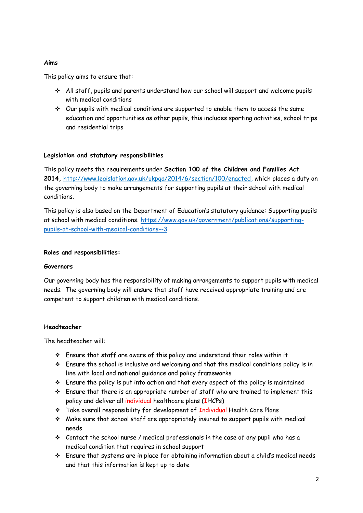#### **Aims**

This policy aims to ensure that:

- All staff, pupils and parents understand how our school will support and welcome pupils with medical conditions
- $\div$  Our pupils with medical conditions are supported to enable them to access the same education and opportunities as other pupils, this includes sporting activities, school trips and residential trips

# **Legislation and statutory responsibilities**

This policy meets the requirements under **Section 100 of the Children and Families Act 2014,** [http://www.legislation.gov.uk/ukpga/2014/6/section/100/enacted,](http://www.legislation.gov.uk/ukpga/2014/6/section/100/enacted) which places a duty on the governing body to make arrangements for supporting pupils at their school with medical conditions.

This policy is also based on the Department of Education's statutory guidance: Supporting pupils at school with medical conditions. [https://www.gov.uk/government/publications/supporting](https://www.gov.uk/government/publications/supporting-pupils-at-school-with-medical-conditions--3)[pupils-at-school-with-medical-conditions--3](https://www.gov.uk/government/publications/supporting-pupils-at-school-with-medical-conditions--3)

#### **Roles and responsibilities:**

#### **Governors**

Our governing body has the responsibility of making arrangements to support pupils with medical needs. The governing body will ensure that staff have received appropriate training and are competent to support children with medical conditions.

# **Headteacher**

The headteacher will:

- Ensure that staff are aware of this policy and understand their roles within it
- $\cdot$  Ensure the school is inclusive and welcoming and that the medical conditions policy is in line with local and national guidance and policy frameworks
- $\div$  Ensure the policy is put into action and that every aspect of the policy is maintained
- $\cdot$  Ensure that there is an appropriate number of staff who are trained to implement this policy and deliver all individual healthcare plans (IHCPs)
- \* Take overall responsibility for development of Individual Health Care Plans
- $\cdot$  Make sure that school staff are appropriately insured to support pupils with medical needs
- $\div$  Contact the school nurse / medical professionals in the case of any pupil who has a medical condition that requires in school support
- Ensure that systems are in place for obtaining information about a child's medical needs and that this information is kept up to date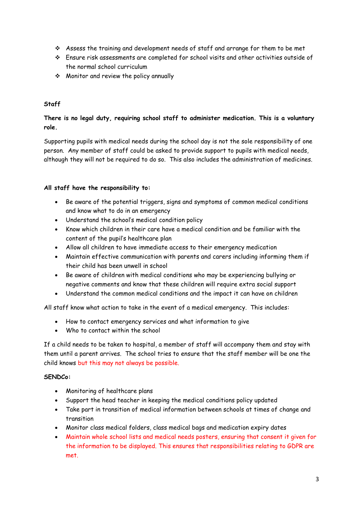- Assess the training and development needs of staff and arrange for them to be met
- Ensure risk assessments are completed for school visits and other activities outside of the normal school curriculum
- Monitor and review the policy annually

# **Staff**

# **There is no legal duty, requiring school staff to administer medication. This is a voluntary role.**

Supporting pupils with medical needs during the school day is not the sole responsibility of one person. Any member of staff could be asked to provide support to pupils with medical needs, although they will not be required to do so. This also includes the administration of medicines.

# **All staff have the responsibility to:**

- Be aware of the potential triggers, signs and symptoms of common medical conditions and know what to do in an emergency
- Understand the school's medical condition policy
- Know which children in their care have a medical condition and be familiar with the content of the pupil's healthcare plan
- Allow all children to have immediate access to their emergency medication
- Maintain effective communication with parents and carers including informing them if their child has been unwell in school
- Be aware of children with medical conditions who may be experiencing bullying or negative comments and know that these children will require extra social support
- Understand the common medical conditions and the impact it can have on children

All staff know what action to take in the event of a medical emergency. This includes:

- How to contact emergency services and what information to give
- Who to contact within the school

If a child needs to be taken to hospital, a member of staff will accompany them and stay with them until a parent arrives. The school tries to ensure that the staff member will be one the child knows but this may not always be possible.

# **SENDCo:**

- Monitoring of healthcare plans
- Support the head teacher in keeping the medical conditions policy updated
- Take part in transition of medical information between schools at times of change and transition
- Monitor class medical folders, class medical bags and medication expiry dates
- Maintain whole school lists and medical needs posters, ensuring that consent it given for the information to be displayed. This ensures that responsibilities relating to GDPR are met.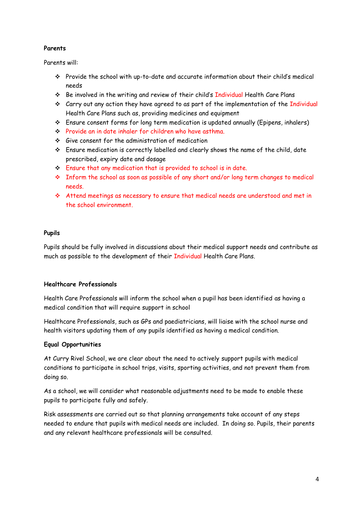# **Parents**

Parents will:

- Provide the school with up-to-date and accurate information about their child's medical needs
- \* Be involved in the writing and review of their child's Individual Health Care Plans
- $\div$  Carry out any action they have agreed to as part of the implementation of the Individual Health Care Plans such as, providing medicines and equipment
- Ensure consent forms for long term medication is updated annually (Epipens, inhalers)
- Provide an in date inhaler for children who have asthma.
- Give consent for the administration of medication
- Ensure medication is correctly labelled and clearly shows the name of the child, date prescribed, expiry date and dosage
- Ensure that any medication that is provided to school is in date.
- Inform the school as soon as possible of any short and/or long term changes to medical needs.
- Attend meetings as necessary to ensure that medical needs are understood and met in the school environment.

# **Pupils**

Pupils should be fully involved in discussions about their medical support needs and contribute as much as possible to the development of their Individual Health Care Plans.

# **Healthcare Professionals**

Health Care Professionals will inform the school when a pupil has been identified as having a medical condition that will require support in school

Healthcare Professionals, such as GPs and paediatricians, will liaise with the school nurse and health visitors updating them of any pupils identified as having a medical condition.

# **Equal Opportunities**

At Curry Rivel School, we are clear about the need to actively support pupils with medical conditions to participate in school trips, visits, sporting activities, and not prevent them from doing so.

As a school, we will consider what reasonable adjustments need to be made to enable these pupils to participate fully and safely.

Risk assessments are carried out so that planning arrangements take account of any steps needed to endure that pupils with medical needs are included. In doing so. Pupils, their parents and any relevant healthcare professionals will be consulted.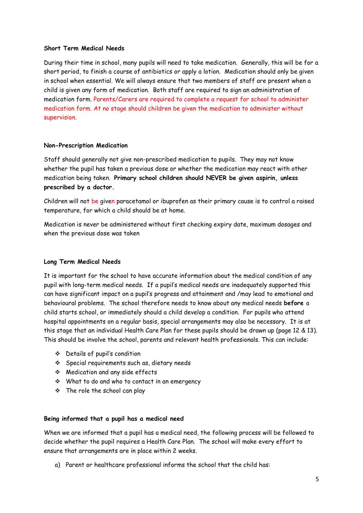#### **Short Term Medical Needs**

During their time in school, many pupils will need to take medication. Generally, this will be for a short period, to finish a course of antibiotics or apply a lotion. Medication should only be given in school when essential. We will always ensure that two members of staff are present when a child is given any form of medication. Both staff are required to sign an administration of medication form. Parents/Carers are required to complete a request for school to administer medication form. At no stage should children be given the medication to administer without supervision.

#### **Non-Prescription Medication**

Staff should generally not give non-prescribed medication to pupils. They may not know whether the pupil has taken a previous dose or whether the medication may react with other medication being taken. **Primary school children should NEVER be given aspirin, unless prescribed by a doctor.**

Children will not be given paracetamol or ibuprofen as their primary cause is to control a raised temperature, for which a child should be at home.

Medication is never be administered without first checking expiry date, maximum dosages and when the previous dose was taken

# **Long Term Medical Needs**

It is important for the school to have accurate information about the medical condition of any pupil with long-term medical needs. If a pupil's medical needs are inadequately supported this can have significant impact on a pupil's progress and attainment and /may lead to emotional and behavioural problems. The school therefore needs to know about any medical needs **before** a child starts school, or immediately should a child develop a condition. For pupils who attend hospital appointments on a regular basis, special arrangements may also be necessary. It is at this stage that an individual Health Care Plan for these pupils should be drawn up (page 12 & 13). This should be involve the school, parents and relevant health professionals. This can include:

- Details of pupil's condition
- Special requirements such as, dietary needs
- Medication and any side effects
- What to do and who to contact in an emergency
- $\div$  The role the school can play

# **Being informed that a pupil has a medical need**

When we are informed that a pupil has a medical need, the following process will be followed to decide whether the pupil requires a Health Care Plan. The school will make every effort to ensure that arrangements are in place within 2 weeks.

a) Parent or healthcare professional informs the school that the child has: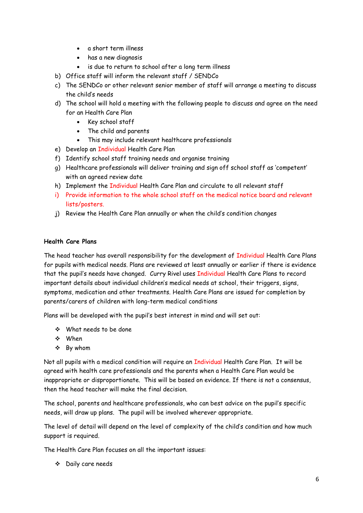- a short term illness
- has a new diagnosis
- is due to return to school after a long term illness
- b) Office staff will inform the relevant staff / SENDCo
- c) The SENDCo or other relevant senior member of staff will arrange a meeting to discuss the child's needs
- d) The school will hold a meeting with the following people to discuss and agree on the need for an Health Care Plan
	- Key school staff
	- The child and parents
	- This may include relevant healthcare professionals
- e) Develop an Individual Health Care Plan
- f) Identify school staff training needs and organise training
- g) Healthcare professionals will deliver training and sign off school staff as 'competent' with an agreed review date
- h) Implement the Individual Health Care Plan and circulate to all relevant staff
- i) Provide information to the whole school staff on the medical notice board and relevant lists/posters.
- j) Review the Health Care Plan annually or when the child's condition changes

# **Health Care Plans**

The head teacher has overall responsibility for the development of Individual Health Care Plans for pupils with medical needs. Plans are reviewed at least annually or earlier if there is evidence that the pupil's needs have changed. Curry Rivel uses Individual Health Care Plans to record important details about individual children's medical needs at school, their triggers, signs, symptoms, medication and other treatments. Health Care Plans are issued for completion by parents/carers of children with long-term medical conditions

Plans will be developed with the pupil's best interest in mind and will set out:

- What needs to be done
- When
- By whom

Not all pupils with a medical condition will require an Individual Health Care Plan. It will be agreed with health care professionals and the parents when a Health Care Plan would be inappropriate or disproportionate. This will be based on evidence. If there is not a consensus, then the head teacher will make the final decision.

The school, parents and healthcare professionals, who can best advice on the pupil's specific needs, will draw up plans. The pupil will be involved wherever appropriate.

The level of detail will depend on the level of complexity of the child's condition and how much support is required.

The Health Care Plan focuses on all the important issues:

Daily care needs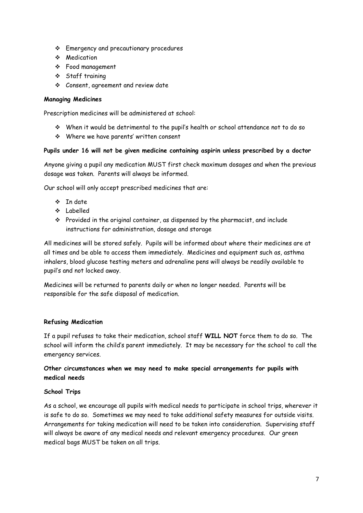- Emergency and precautionary procedures
- Medication
- Food management
- Staff training
- Consent, agreement and review date

# **Managing Medicines**

Prescription medicines will be administered at school:

- When it would be detrimental to the pupil's health or school attendance not to do so
- Where we have parents' written consent

# **Pupils under 16 will not be given medicine containing aspirin unless prescribed by a doctor**

Anyone giving a pupil any medication MUST first check maximum dosages and when the previous dosage was taken. Parents will always be informed.

Our school will only accept prescribed medicines that are:

- $\cdot$  In date
- Labelled
- $\cdot \cdot$  Provided in the original container, as dispensed by the pharmacist, and include instructions for administration, dosage and storage

All medicines will be stored safely. Pupils will be informed about where their medicines are at all times and be able to access them immediately. Medicines and equipment such as, asthma inhalers, blood glucose testing meters and adrenaline pens will always be readily available to pupil's and not locked away.

Medicines will be returned to parents daily or when no longer needed. Parents will be responsible for the safe disposal of medication.

# **Refusing Medication**

If a pupil refuses to take their medication, school staff **WILL NOT** force them to do so. The school will inform the child's parent immediately. It may be necessary for the school to call the emergency services.

# **Other circumstances when we may need to make special arrangements for pupils with medical needs**

# **School Trips**

As a school, we encourage all pupils with medical needs to participate in school trips, wherever it is safe to do so. Sometimes we may need to take additional safety measures for outside visits. Arrangements for taking medication will need to be taken into consideration. Supervising staff will always be aware of any medical needs and relevant emergency procedures. Our green medical bags MUST be taken on all trips.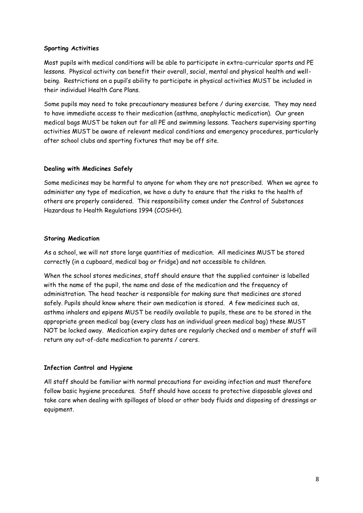#### **Sporting Activities**

Most pupils with medical conditions will be able to participate in extra-curricular sports and PE lessons. Physical activity can benefit their overall, social, mental and physical health and wellbeing. Restrictions on a pupil's ability to participate in physical activities MUST be included in their individual Health Care Plans.

Some pupils may need to take precautionary measures before / during exercise. They may need to have immediate access to their medication (asthma, anaphylactic medication). Our green medical bags MUST be taken out for all PE and swimming lessons. Teachers supervising sporting activities MUST be aware of relevant medical conditions and emergency procedures, particularly after school clubs and sporting fixtures that may be off site.

#### **Dealing with Medicines Safely**

Some medicines may be harmful to anyone for whom they are not prescribed. When we agree to administer any type of medication, we have a duty to ensure that the risks to the health of others are properly considered. This responsibility comes under the Control of Substances Hazardous to Health Regulations 1994 (COSHH).

# **Storing Medication**

As a school, we will not store large quantities of medication. All medicines MUST be stored correctly (in a cupboard, medical bag or fridge) and not accessible to children.

When the school stores medicines, staff should ensure that the supplied container is labelled with the name of the pupil, the name and dose of the medication and the frequency of administration. The head teacher is responsible for making sure that medicines are stored safely. Pupils should know where their own medication is stored. A few medicines such as, asthma inhalers and epipens MUST be readily available to pupils, these are to be stored in the appropriate green medical bag (every class has an individual green medical bag) these MUST NOT be locked away. Medication expiry dates are regularly checked and a member of staff will return any out-of-date medication to parents / carers.

# **Infection Control and Hygiene**

All staff should be familiar with normal precautions for avoiding infection and must therefore follow basic hygiene procedures. Staff should have access to protective disposable gloves and take care when dealing with spillages of blood or other body fluids and disposing of dressings or equipment.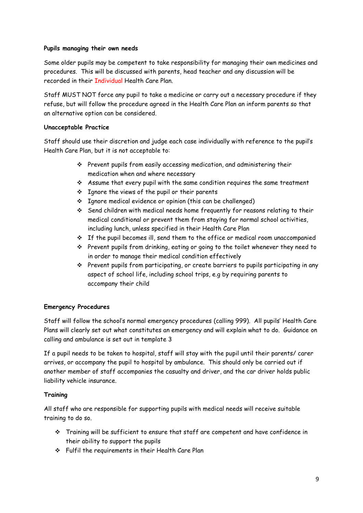# **Pupils managing their own needs**

Some older pupils may be competent to take responsibility for managing their own medicines and procedures. This will be discussed with parents, head teacher and any discussion will be recorded in their Individual Health Care Plan.

Staff MUST NOT force any pupil to take a medicine or carry out a necessary procedure if they refuse, but will follow the procedure agreed in the Health Care Plan an inform parents so that an alternative option can be considered.

# **Unacceptable Practice**

Staff should use their discretion and judge each case individually with reference to the pupil's Health Care Plan, but it is not acceptable to:

- $\cdot$  Prevent pupils from easily accessing medication, and administering their medication when and where necessary
- $\cdot$  Assume that every pupil with the same condition requires the same treatment
- $\cdot$  Ignore the views of the pupil or their parents
- Ignore medical evidence or opinion (this can be challenged)
- Send children with medical needs home frequently for reasons relating to their medical conditional or prevent them from staying for normal school activities, including lunch, unless specified in their Health Care Plan
- $\cdot \cdot$  If the pupil becomes ill, send them to the office or medical room unaccompanied
- Prevent pupils from drinking, eating or going to the toilet whenever they need to in order to manage their medical condition effectively
- $\cdot$  Prevent pupils from participating, or create barriers to pupils participating in any aspect of school life, including school trips, e.g by requiring parents to accompany their child

# **Emergency Procedures**

Staff will follow the school's normal emergency procedures (calling 999). All pupils' Health Care Plans will clearly set out what constitutes an emergency and will explain what to do. Guidance on calling and ambulance is set out in template 3

If a pupil needs to be taken to hospital, staff will stay with the pupil until their parents/ carer arrives, or accompany the pupil to hospital by ambulance. This should only be carried out if another member of staff accompanies the casualty and driver, and the car driver holds public liability vehicle insurance.

# **Training**

All staff who are responsible for supporting pupils with medical needs will receive suitable training to do so.

- Training will be sufficient to ensure that staff are competent and have confidence in their ability to support the pupils
- Fulfil the requirements in their Health Care Plan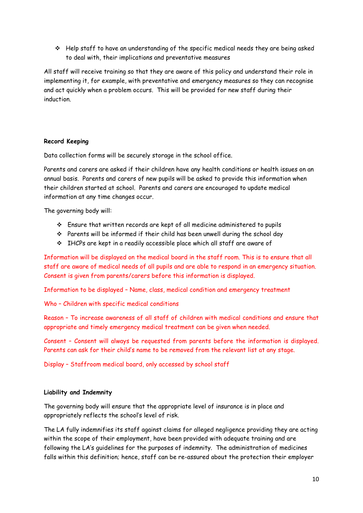Help staff to have an understanding of the specific medical needs they are being asked to deal with, their implications and preventative measures

All staff will receive training so that they are aware of this policy and understand their role in implementing it, for example, with preventative and emergency measures so they can recognise and act quickly when a problem occurs. This will be provided for new staff during their induction.

#### **Record Keeping**

Data collection forms will be securely storage in the school office.

Parents and carers are asked if their children have any health conditions or health issues on an annual basis. Parents and carers of new pupils will be asked to provide this information when their children started at school. Parents and carers are encouraged to update medical information at any time changes occur.

The governing body will:

- Ensure that written records are kept of all medicine administered to pupils
- Parents will be informed if their child has been unwell during the school day
- $\div$  IHCPs are kept in a readily accessible place which all staff are aware of

Information will be displayed on the medical board in the staff room. This is to ensure that all staff are aware of medical needs of all pupils and are able to respond in an emergency situation. Consent is given from parents/carers before this information is displayed.

Information to be displayed – Name, class, medical condition and emergency treatment

Who – Children with specific medical conditions

Reason – To increase awareness of all staff of children with medical conditions and ensure that appropriate and timely emergency medical treatment can be given when needed.

Consent – Consent will always be requested from parents before the information is displayed. Parents can ask for their child's name to be removed from the relevant list at any stage.

Display – Staffroom medical board, only accessed by school staff

# **Liability and Indemnity**

The governing body will ensure that the appropriate level of insurance is in place and appropriately reflects the school's level of risk.

The LA fully indemnifies its staff against claims for alleged negligence providing they are acting within the scope of their employment, have been provided with adequate training and are following the LA's guidelines for the purposes of indemnity. The administration of medicines falls within this definition; hence, staff can be re-assured about the protection their employer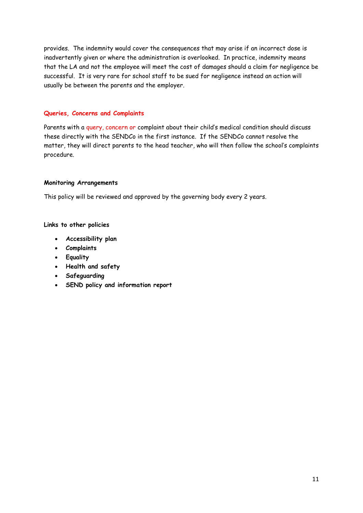provides. The indemnity would cover the consequences that may arise if an incorrect dose is inadvertently given or where the administration is overlooked. In practice, indemnity means that the LA and not the employee will meet the cost of damages should a claim for negligence be successful. It is very rare for school staff to be sued for negligence instead an action will usually be between the parents and the employer.

#### **Queries, Concerns and Complaints**

Parents with a query, concern or complaint about their child's medical condition should discuss these directly with the SENDCo in the first instance. If the SENDCo cannot resolve the matter, they will direct parents to the head teacher, who will then follow the school's complaints procedure.

#### **Monitoring Arrangements**

This policy will be reviewed and approved by the governing body every 2 years.

#### **Links to other policies**

- **Accessibility plan**
- **Complaints**
- **Equality**
- **Health and safety**
- **Safeguarding**
- **SEND policy and information report**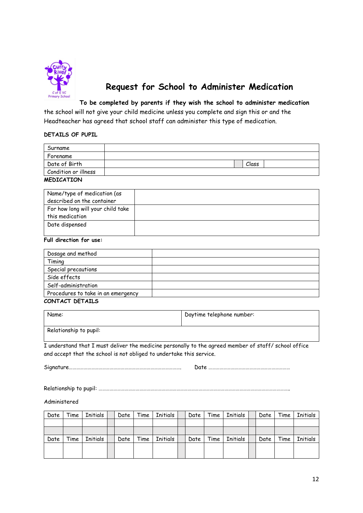

# **Request for School to Administer Medication**

**To be completed by parents if they wish the school to administer medication** the school will not give your child medicine unless you complete and sign this or and the Headteacher has agreed that school staff can administer this type of medication.

#### **DETAILS OF PUPIL**

| Surname                                                                                    |       |  |
|--------------------------------------------------------------------------------------------|-------|--|
| Forename                                                                                   |       |  |
| Date of Birth                                                                              | Class |  |
| Condition or illness                                                                       |       |  |
| $\mathbf{M}$ $\mathbf{P}$ $\mathbf{N}$ $\mathbf{P}$ $\mathbf{A}$ $\mathbf{M}$ $\mathbf{N}$ |       |  |

#### **MEDICATION**

| Name/type of medication (as<br>described on the container |  |
|-----------------------------------------------------------|--|
| For how long will your child take<br>this medication      |  |
| Date dispensed                                            |  |

#### **Full direction for use:**

| Dosage and method                  |  |
|------------------------------------|--|
| Timing                             |  |
| Special precautions                |  |
| Side effects                       |  |
| Self-administration                |  |
| Procedures to take in an emergency |  |
|                                    |  |

#### **CONTACT DETAILS**

| Name:                  | Daytime telephone number: |
|------------------------|---------------------------|
| Relationship to pupil: |                           |

I understand that I must deliver the medicine personally to the agreed member of staff/ school office and accept that the school is not obliged to undertake this service.

Signature………………………………………………………………………………. Date …………………………………………………………

Relationship to pupil: ………………………………………………………………………………………………………………………………………..

Administered

| Date | Time | Initials | Date | Time | Initials | Date | Time | Initials | Date | Time | Initials |
|------|------|----------|------|------|----------|------|------|----------|------|------|----------|
|      |      |          |      |      |          |      |      |          |      |      |          |
|      |      |          |      |      |          |      |      |          |      |      |          |
| Date | Time | Initials | Date | Time | Initials | Date | Time | Initials | Date | Time | Initials |
|      |      |          |      |      |          |      |      |          |      |      |          |
|      |      |          |      |      |          |      |      |          |      |      |          |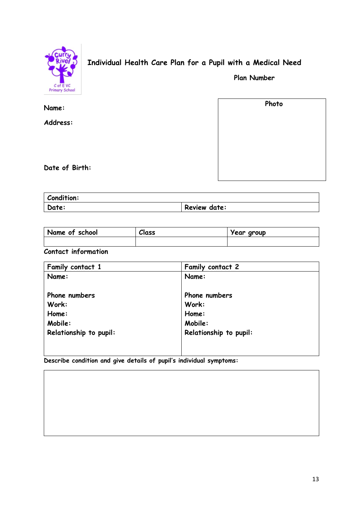

# **Individual Health Care Plan for a Pupil with a Medical Need**

 **Plan Number**

| Name:          | Photo |
|----------------|-------|
| Address:       |       |
|                |       |
|                |       |
| Date of Birth: |       |

| Condition: |              |
|------------|--------------|
| Date:      | Review date: |

| Name of school | Class | Year group |
|----------------|-------|------------|
|                |       |            |

**Contact information**

| Family contact 1       | Family contact 2       |
|------------------------|------------------------|
| Name:                  | Name:                  |
|                        |                        |
| Phone numbers          | Phone numbers          |
| Work:                  | Work:                  |
| Home:                  | Home:                  |
| Mobile:                | Mobile:                |
| Relationship to pupil: | Relationship to pupil: |
|                        |                        |
|                        |                        |

**Describe condition and give details of pupil's individual symptoms:**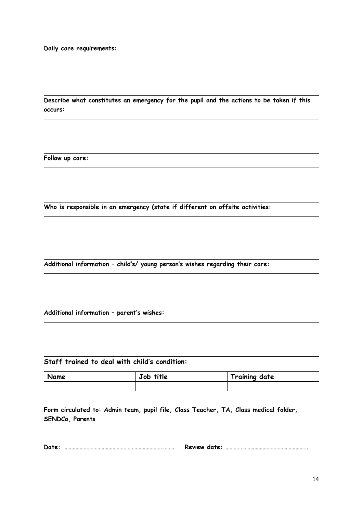**Daily care requirements:**

**Describe what constitutes an emergency for the pupil and the actions to be taken if this occurs:**

**Follow up care:**

**Who is responsible in an emergency (state if different on offsite activities:**

**Additional information – child's/ young person's wishes regarding their care:**

**Additional information – parent's wishes:**

**Staff trained to deal with child's condition:**

| Name | Job title | <b>Training date</b> |
|------|-----------|----------------------|
|      |           |                      |

**Form circulated to: Admin team, pupil file, Class Teacher, TA, Class medical folder, SENDCo, Parents**

**Date: ……………………………………………………………………… Review date: …………………………………………………..**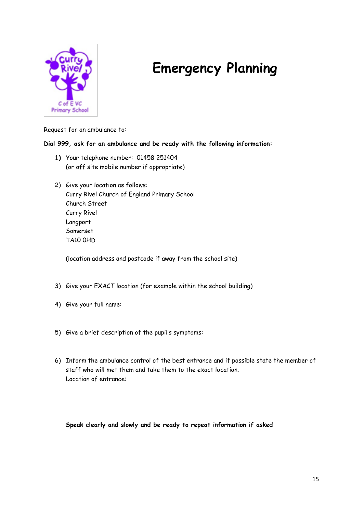

# **Emergency Planning**

Request for an ambulance to:

# **Dial 999, ask for an ambulance and be ready with the following information:**

- **1)** Your telephone number: 01458 251404 (or off site mobile number if appropriate)
- 2) Give your location as follows: Curry Rivel Church of England Primary School Church Street Curry Rivel Langport Somerset TA10 0HD

(location address and postcode if away from the school site)

- 3) Give your EXACT location (for example within the school building)
- 4) Give your full name:
- 5) Give a brief description of the pupil's symptoms:
- 6) Inform the ambulance control of the best entrance and if possible state the member of staff who will met them and take them to the exact location. Location of entrance:

# **Speak clearly and slowly and be ready to repeat information if asked**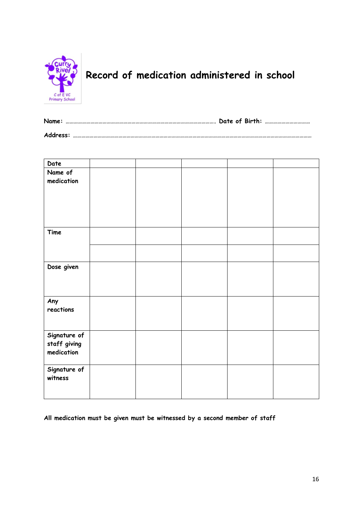

# **Record of medication administered in school**

| Name:    |  |  |
|----------|--|--|
| Address: |  |  |

| Date                                       |  |  |  |
|--------------------------------------------|--|--|--|
| Name of<br>medication                      |  |  |  |
| Time                                       |  |  |  |
|                                            |  |  |  |
| Dose given                                 |  |  |  |
| Any<br>reactions                           |  |  |  |
| Signature of<br>staff giving<br>medication |  |  |  |
| Signature of<br>witness                    |  |  |  |

**All medication must be given must be witnessed by a second member of staff**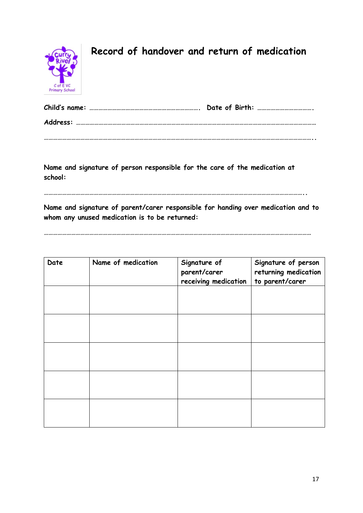

# **Record of handover and return of medication**

**Name and signature of person responsible for the care of the medication at school:** 

**………………………………………………………………………………………………………………………………………………………..**

**Name and signature of parent/carer responsible for handing over medication and to whom any unused medication is to be returned:** 

| Date | Name of medication | Signature of<br>parent/carer<br>receiving medication | Signature of person<br>returning medication<br>to parent/carer |
|------|--------------------|------------------------------------------------------|----------------------------------------------------------------|
|      |                    |                                                      |                                                                |
|      |                    |                                                      |                                                                |
|      |                    |                                                      |                                                                |
|      |                    |                                                      |                                                                |
|      |                    |                                                      |                                                                |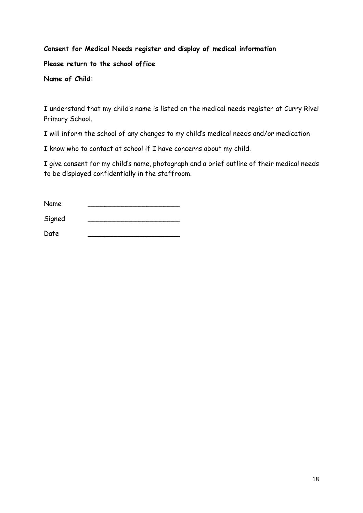# **Consent for Medical Needs register and display of medical information**

**Please return to the school office**

**Name of Child:** 

I understand that my child's name is listed on the medical needs register at Curry Rivel Primary School.

I will inform the school of any changes to my child's medical needs and/or medication

I know who to contact at school if I have concerns about my child.

I give consent for my child's name, photograph and a brief outline of their medical needs to be displayed confidentially in the staffroom.

| Name   |  |
|--------|--|
| Signed |  |
| Date   |  |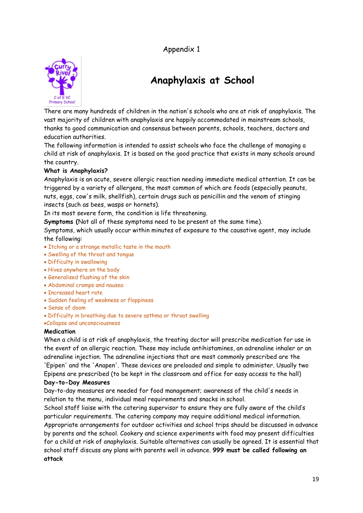Appendix 1



# **Anaphylaxis at School**

There are many hundreds of children in the nation's schools who are at risk of anaphylaxis. The vast majority of children with anaphylaxis are happily accommodated in mainstream schools, thanks to good communication and consensus between parents, schools, teachers, doctors and education authorities.

The following information is intended to assist schools who face the challenge of managing a child at risk of anaphylaxis. It is based on the good practice that exists in many schools around the country.

# **What is Anaphylaxis?**

Anaphylaxis is an acute, severe allergic reaction needing immediate medical attention. It can be triggered by a variety of allergens, the most common of which are foods (especially peanuts, nuts, eggs, cow's milk, shellfish), certain drugs such as penicillin and the venom of stinging insects (such as bees, wasps or hornets).

In its most severe form, the condition is life threatening.

**Symptoms (**Not all of these symptoms need to be present at the same time).

Symptoms, which usually occur within minutes of exposure to the causative agent, may include the following:

- Itching or a strange metallic taste in the mouth
- Swelling of the throat and tongue
- Difficulty in swallowing
- Hives anywhere on the body
- Generalised flushing of the skin
- Abdominal cramps and nausea
- Increased heart rate
- Sudden feeling of weakness or floppiness
- Sense of doom
- Difficulty in breathing due to severe asthma or throat swelling
- Collapse and unconsciousness

# **Medication**

When a child is at risk of anaphylaxis, the treating doctor will prescribe medication for use in the event of an allergic reaction. These may include antihistamines, an adrenaline inhaler or an adrenaline injection. The adrenaline injections that are most commonly prescribed are the 'Epipen' and the 'Anapen'. These devices are preloaded and simple to administer. Usually two Epipens are prescribed (to be kept in the classroom and office for easy access to the hall)

# **Day-to-Day Measures**

Day-to-day measures are needed for food management; awareness of the child's needs in relation to the menu, individual meal requirements and snacks in school.

School staff liaise with the catering supervisor to ensure they are fully aware of the child's particular requirements. The catering company may require additional medical information. Appropriate arrangements for outdoor activities and school trips should be discussed in advance by parents and the school. Cookery and science experiments with food may present difficulties for a child at risk of anaphylaxis. Suitable alternatives can usually be agreed. It is essential that school staff discuss any plans with parents well in advance. **999 must be called following an attack**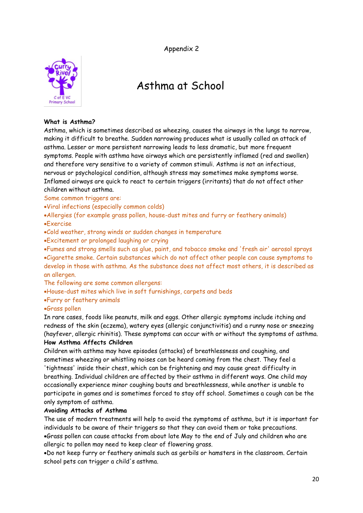Appendix 2



# Asthma at School

#### **What is Asthma?**

Asthma, which is sometimes described as wheezing, causes the airways in the lungs to narrow, making it difficult to breathe. Sudden narrowing produces what is usually called an attack of asthma. Lesser or more persistent narrowing leads to less dramatic, but more frequent symptoms. People with asthma have airways which are persistently inflamed (red and swollen) and therefore very sensitive to a variety of common stimuli. Asthma is not an infectious, nervous or psychological condition, although stress may sometimes make symptoms worse. Inflamed airways are quick to react to certain triggers (irritants) that do not affect other children without asthma.

Some common triggers are:

Viral infections (especially common colds)

Allergies (for example grass pollen, house-dust mites and furry or feathery animals) Exercise

Cold weather, strong winds or sudden changes in temperature

Excitement or prolonged laughing or crying

Fumes and strong smells such as glue, paint, and tobacco smoke and 'fresh air' aerosol sprays Cigarette smoke. Certain substances which do not affect other people can cause symptoms to develop in those with asthma. As the substance does not affect most others, it is described as an allergen.

The following are some common allergens:

House-dust mites which live in soft furnishings, carpets and beds

Furry or feathery animals

# Grass pollen

In rare cases, foods like peanuts, milk and eggs. Other allergic symptoms include itching and redness of the skin (eczema), watery eyes (allergic conjunctivitis) and a runny nose or sneezing (hayfever, allergic rhinitis). These symptoms can occur with or without the symptoms of asthma. **How Asthma Affects Children** 

Children with asthma may have episodes (attacks) of breathlessness and coughing, and sometimes wheezing or whistling noises can be heard coming from the chest. They feel a 'tightness' inside their chest, which can be frightening and may cause great difficulty in breathing. Individual children are affected by their asthma in different ways. One child may occasionally experience minor coughing bouts and breathlessness, while another is unable to participate in games and is sometimes forced to stay off school. Sometimes a cough can be the only symptom of asthma.

# **Avoiding Attacks of Asthma**

The use of modern treatments will help to avoid the symptoms of asthma, but it is important for individuals to be aware of their triggers so that they can avoid them or take precautions. Grass pollen can cause attacks from about late May to the end of July and children who are allergic to pollen may need to keep clear of flowering grass.

Do not keep furry or feathery animals such as gerbils or hamsters in the classroom. Certain school pets can trigger a child's asthma.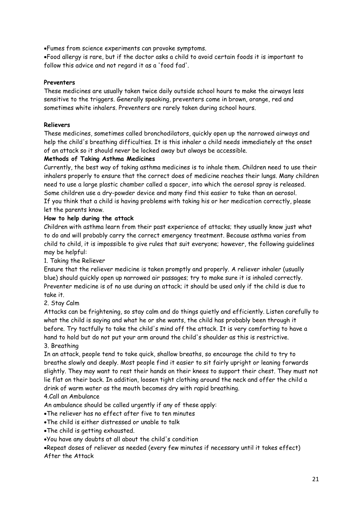Fumes from science experiments can provoke symptoms.

Food allergy is rare, but if the doctor asks a child to avoid certain foods it is important to follow this advice and not regard it as a 'food fad'.

# **Preventers**

These medicines are usually taken twice daily outside school hours to make the airways less sensitive to the triggers. Generally speaking, preventers come in brown, orange, red and sometimes white inhalers. Preventers are rarely taken during school hours.

# **Relievers**

These medicines, sometimes called bronchodilators, quickly open up the narrowed airways and help the child's breathing difficulties. It is this inhaler a child needs immediately at the onset of an attack so it should never be locked away but always be accessible.

# **Methods of Taking Asthma Medicines**

Currently, the best way of taking asthma medicines is to inhale them. Children need to use their inhalers properly to ensure that the correct does of medicine reaches their lungs. Many children need to use a large plastic chamber called a spacer, into which the aerosol spray is released. Some children use a dry-powder device and many find this easier to take than an aerosol. If you think that a child is having problems with taking his or her medication correctly, please let the parents know.

# **How to help during the attack**

Children with asthma learn from their past experience of attacks; they usually know just what to do and will probably carry the correct emergency treatment. Because asthma varies from child to child, it is impossible to give rules that suit everyone; however, the following guidelines may be helpful:

1. Taking the Reliever

Ensure that the reliever medicine is taken promptly and properly. A reliever inhaler (usually blue) should quickly open up narrowed air passages; try to make sure it is inhaled correctly. Preventer medicine is of no use during an attack; it should be used only if the child is due to take it.

# 2. Stay Calm

Attacks can be frightening, so stay calm and do things quietly and efficiently. Listen carefully to what the child is saying and what he or she wants, the child has probably been through it before. Try tactfully to take the child's mind off the attack. It is very comforting to have a hand to hold but do not put your arm around the child's shoulder as this is restrictive.

# 3. Breathing

In an attack, people tend to take quick, shallow breaths, so encourage the child to try to breathe slowly and deeply. Most people find it easier to sit fairly upright or leaning forwards slightly. They may want to rest their hands on their knees to support their chest. They must not lie flat on their back. In addition, loosen tight clothing around the neck and offer the child a drink of warm water as the mouth becomes dry with rapid breathing.

# 4.Call an Ambulance

An ambulance should be called urgently if any of these apply:

The reliever has no effect after five to ten minutes

- The child is either distressed or unable to talk
- The child is getting exhausted.
- You have any doubts at all about the child's condition

Repeat doses of reliever as needed (every few minutes if necessary until it takes effect) After the Attack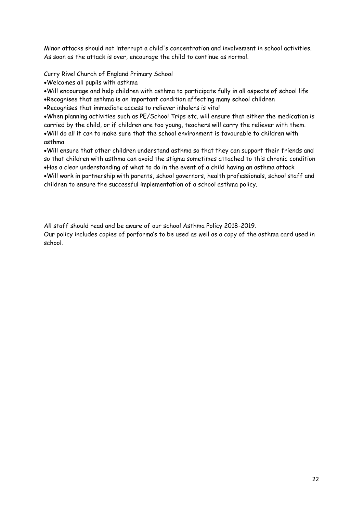Minor attacks should not interrupt a child's concentration and involvement in school activities. As soon as the attack is over, encourage the child to continue as normal.

Curry Rivel Church of England Primary School

Welcomes all pupils with asthma

Will encourage and help children with asthma to participate fully in all aspects of school life Recognises that asthma is an important condition affecting many school children

Recognises that immediate access to reliever inhalers is vital

When planning activities such as PE/School Trips etc. will ensure that either the medication is carried by the child, or if children are too young, teachers will carry the reliever with them. Will do all it can to make sure that the school environment is favourable to children with asthma

Will ensure that other children understand asthma so that they can support their friends and so that children with asthma can avoid the stigma sometimes attached to this chronic condition Has a clear understanding of what to do in the event of a child having an asthma attack Will work in partnership with parents, school governors, health professionals, school staff and children to ensure the successful implementation of a school asthma policy.

All staff should read and be aware of our school Asthma Policy 2018-2019. Our policy includes copies of porforma's to be used as well as a copy of the asthma card used in school.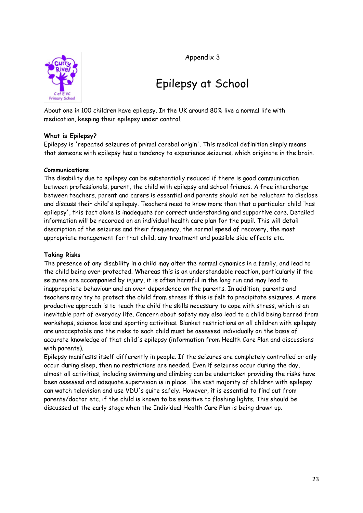Appendix 3



# Epilepsy at School

About one in 100 children have epilepsy. In the UK around 80% live a normal life with medication, keeping their epilepsy under control.

# **What is Epilepsy?**

Epilepsy is 'repeated seizures of primal cerebal origin'. This medical definition simply means that someone with epilepsy has a tendency to experience seizures, which originate in the brain.

# **Communications**

The disability due to epilepsy can be substantially reduced if there is good communication between professionals, parent, the child with epilepsy and school friends. A free interchange between teachers, parent and carers is essential and parents should not be reluctant to disclose and discuss their child's epilepsy. Teachers need to know more than that a particular child 'has epilepsy', this fact alone is inadequate for correct understanding and supportive care. Detailed information will be recorded on an individual health care plan for the pupil. This will detail description of the seizures and their frequency, the normal speed of recovery, the most appropriate management for that child, any treatment and possible side effects etc.

#### **Taking Risks**

The presence of any disability in a child may alter the normal dynamics in a family, and lead to the child being over-protected. Whereas this is an understandable reaction, particularly if the seizures are accompanied by injury, it is often harmful in the long run and may lead to inappropriate behaviour and an over-dependence on the parents. In addition, parents and teachers may try to protect the child from stress if this is felt to precipitate seizures. A more productive approach is to teach the child the skills necessary to cope with stress, which is an inevitable part of everyday life. Concern about safety may also lead to a child being barred from workshops, science labs and sporting activities. Blanket restrictions on all children with epilepsy are unacceptable and the risks to each child must be assessed individually on the basis of accurate knowledge of that child's epilepsy (information from Health Care Plan and discussions with parents).

Epilepsy manifests itself differently in people. If the seizures are completely controlled or only occur during sleep, then no restrictions are needed. Even if seizures occur during the day, almost all activities, including swimming and climbing can be undertaken providing the risks have been assessed and adequate supervision is in place. The vast majority of children with epilepsy can watch television and use VDU's quite safely. However, it is essential to find out from parents/doctor etc. if the child is known to be sensitive to flashing lights. This should be discussed at the early stage when the Individual Health Care Plan is being drawn up.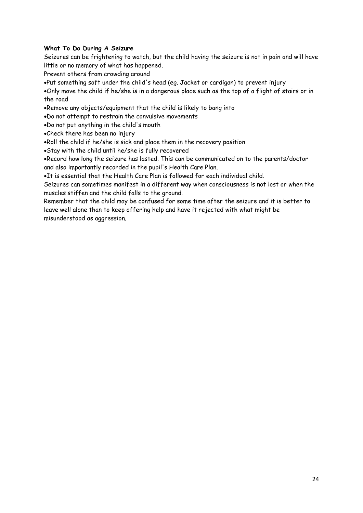# **What To Do During A Seizure**

Seizures can be frightening to watch, but the child having the seizure is not in pain and will have little or no memory of what has happened.

Prevent others from crowding around

Put something soft under the child's head (eg. Jacket or cardigan) to prevent injury

Only move the child if he/she is in a dangerous place such as the top of a flight of stairs or in the road

Remove any objects/equipment that the child is likely to bang into

Do not attempt to restrain the convulsive movements

Do not put anything in the child's mouth

Check there has been no injury

Roll the child if he/she is sick and place them in the recovery position

Stay with the child until he/she is fully recovered

Record how long the seizure has lasted. This can be communicated on to the parents/doctor and also importantly recorded in the pupil's Health Care Plan.

It is essential that the Health Care Plan is followed for each individual child.

Seizures can sometimes manifest in a different way when consciousness is not lost or when the muscles stiffen and the child falls to the ground.

Remember that the child may be confused for some time after the seizure and it is better to leave well alone than to keep offering help and have it rejected with what might be misunderstood as aggression.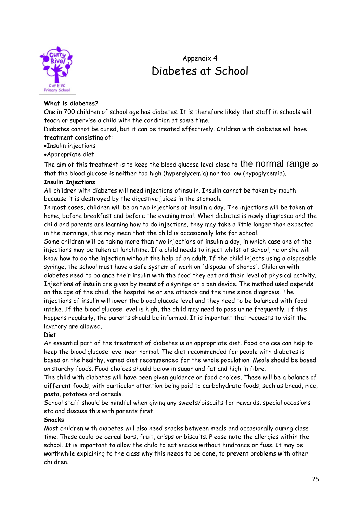

# Appendix 4 Diabetes at School

# **What is diabetes?**

One in 700 children of school age has diabetes. It is therefore likely that staff in schools will teach or supervise a child with the condition at some time.

Diabetes cannot be cured, but it can be treated effectively. Children with diabetes will have treatment consisting of:

- Insulin injections
- Appropriate diet

The aim of this treatment is to keep the blood glucose level close to the normal range so that the blood glucose is neither too high (hyperglycemia) nor too low (hypoglycemia).

# **Insulin Injections**

All children with diabetes will need injections ofinsulin. Insulin cannot be taken by mouth because it is destroyed by the digestive juices in the stomach.

In most cases, children will be on two injections of insulin a day. The injections will be taken at home, before breakfast and before the evening meal. When diabetes is newly diagnosed and the child and parents are learning how to do injections, they may take a little longer than expected in the mornings, this may mean that the child is occasionally late for school.

Some children will be taking more than two injections of insulin a day, in which case one of the injections may be taken at lunchtime. If a child needs to inject whilst at school, he or she will know how to do the injection without the help of an adult. If the child injects using a disposable syringe, the school must have a safe system of work on 'disposal of sharps'. Children with diabetes need to balance their insulin with the food they eat and their level of physical activity. Injections of insulin are given by means of a syringe or a pen device. The method used depends on the age of the child, the hospital he or she attends and the time since diagnosis. The injections of insulin will lower the blood glucose level and they need to be balanced with food intake. If the blood glucose level is high, the child may need to pass urine frequently. If this happens regularly, the parents should be informed. It is important that requests to visit the lavatory are allowed.

# **Diet**

An essential part of the treatment of diabetes is an appropriate diet. Food choices can help to keep the blood glucose level near normal. The diet recommended for people with diabetes is based on the healthy, varied diet recommended for the whole population. Meals should be based on starchy foods. Food choices should below in sugar and fat and high in fibre.

The child with diabetes will have been given guidance on food choices. These will be a balance of different foods, with particular attention being paid to carbohydrate foods, such as bread, rice, pasta, potatoes and cereals.

School staff should be mindful when giving any sweets/biscuits for rewards, special occasions etc and discuss this with parents first.

# **Snacks**

Most children with diabetes will also need snacks between meals and occasionally during class time. These could be cereal bars, fruit, crisps or biscuits. Please note the allergies within the school. It is important to allow the child to eat snacks without hindrance or fuss. It may be worthwhile explaining to the class why this needs to be done, to prevent problems with other children.